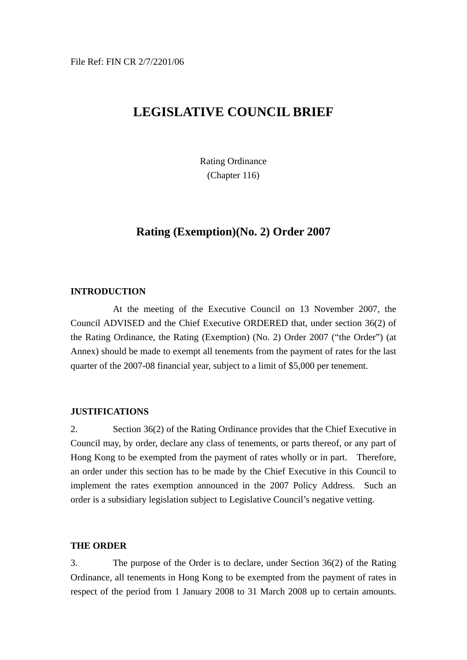# **LEGISLATIVE COUNCIL BRIEF**

Rating Ordinance (Chapter 116)

# **Rating (Exemption)(No. 2) Order 2007**

# **INTRODUCTION**

 At the meeting of the Executive Council on 13 November 2007, the Council ADVISED and the Chief Executive ORDERED that, under section 36(2) of the Rating Ordinance, the Rating (Exemption) (No. 2) Order 2007 ("the Order") (at Annex) should be made to exempt all tenements from the payment of rates for the last quarter of the 2007-08 financial year, subject to a limit of \$5,000 per tenement.

#### **JUSTIFICATIONS**

2. Section 36(2) of the Rating Ordinance provides that the Chief Executive in Council may, by order, declare any class of tenements, or parts thereof, or any part of Hong Kong to be exempted from the payment of rates wholly or in part. Therefore, an order under this section has to be made by the Chief Executive in this Council to implement the rates exemption announced in the 2007 Policy Address. Such an order is a subsidiary legislation subject to Legislative Council's negative vetting.

#### **THE ORDER**

3. The purpose of the Order is to declare, under Section 36(2) of the Rating Ordinance, all tenements in Hong Kong to be exempted from the payment of rates in respect of the period from 1 January 2008 to 31 March 2008 up to certain amounts.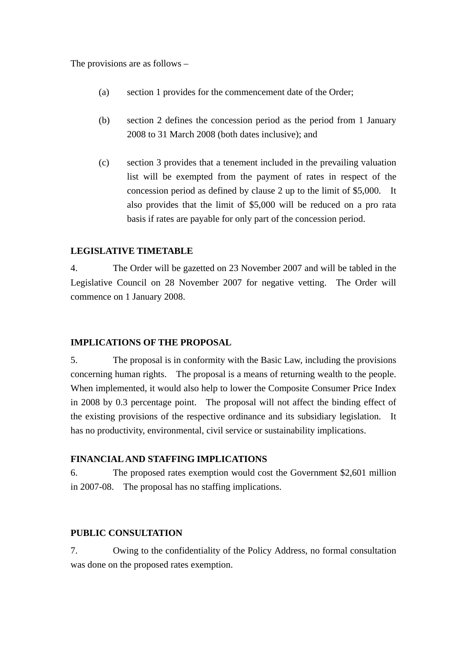The provisions are as follows –

- (a) section 1 provides for the commencement date of the Order;
- (b) section 2 defines the concession period as the period from 1 January 2008 to 31 March 2008 (both dates inclusive); and
- (c) section 3 provides that a tenement included in the prevailing valuation list will be exempted from the payment of rates in respect of the concession period as defined by clause 2 up to the limit of \$5,000. It also provides that the limit of \$5,000 will be reduced on a pro rata basis if rates are payable for only part of the concession period.

#### **LEGISLATIVE TIMETABLE**

4. The Order will be gazetted on 23 November 2007 and will be tabled in the Legislative Council on 28 November 2007 for negative vetting. The Order will commence on 1 January 2008.

#### **IMPLICATIONS OF THE PROPOSAL**

5. The proposal is in conformity with the Basic Law, including the provisions concerning human rights. The proposal is a means of returning wealth to the people. When implemented, it would also help to lower the Composite Consumer Price Index in 2008 by 0.3 percentage point. The proposal will not affect the binding effect of the existing provisions of the respective ordinance and its subsidiary legislation. It has no productivity, environmental, civil service or sustainability implications.

#### **FINANCIAL AND STAFFING IMPLICATIONS**

6. The proposed rates exemption would cost the Government \$2,601 million in 2007-08. The proposal has no staffing implications.

#### **PUBLIC CONSULTATION**

7. Owing to the confidentiality of the Policy Address, no formal consultation was done on the proposed rates exemption.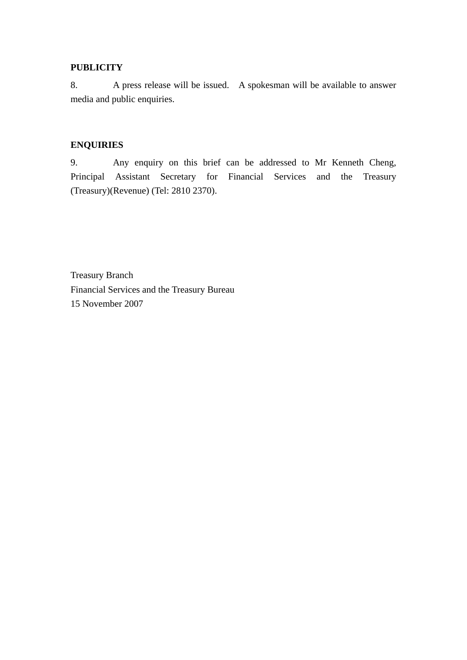### **PUBLICITY**

8. A press release will be issued. A spokesman will be available to answer media and public enquiries.

## **ENQUIRIES**

9. Any enquiry on this brief can be addressed to Mr Kenneth Cheng, Principal Assistant Secretary for Financial Services and the Treasury (Treasury)(Revenue) (Tel: 2810 2370).

Treasury Branch Financial Services and the Treasury Bureau 15 November 2007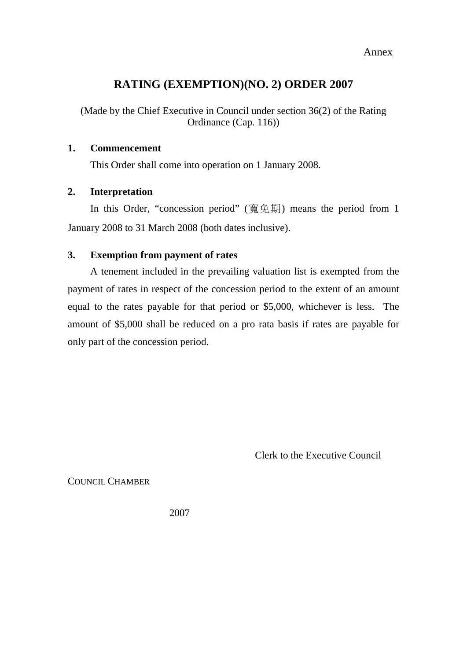#### Annex

# **RATING (EXEMPTION)(NO. 2) ORDER 2007**

(Made by the Chief Executive in Council under section 36(2) of the Rating Ordinance (Cap. 116))

### **1. Commencement**

This Order shall come into operation on 1 January 2008.

#### **2. Interpretation**

In this Order, "concession period" (寬免期) means the period from 1 January 2008 to 31 March 2008 (both dates inclusive).

## **3. Exemption from payment of rates**

A tenement included in the prevailing valuation list is exempted from the payment of rates in respect of the concession period to the extent of an amount equal to the rates payable for that period or \$5,000, whichever is less. The amount of \$5,000 shall be reduced on a pro rata basis if rates are payable for only part of the concession period.

Clerk to the Executive Council

COUNCIL CHAMBER

2007